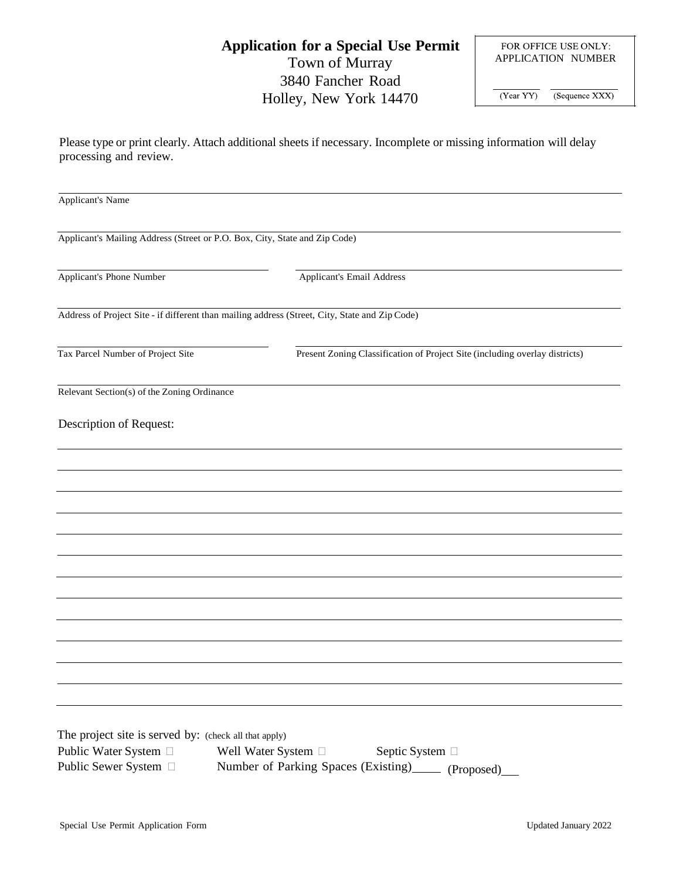## **Application for a Special Use Permit** Town of Murray 3840 Fancher Road Holley, New York 14470

FOR OFFICE USE ONLY: APPLICATION NUMBER

(Year YY) (Sequence XXX)

Please type or print clearly. Attach additional sheets if necessary. Incomplete or missing information will delay processing and review.

| <b>Applicant's Name</b>                                                                        |                                                                                                |  |  |  |
|------------------------------------------------------------------------------------------------|------------------------------------------------------------------------------------------------|--|--|--|
|                                                                                                |                                                                                                |  |  |  |
| Applicant's Mailing Address (Street or P.O. Box, City, State and Zip Code)                     |                                                                                                |  |  |  |
| Applicant's Phone Number                                                                       | Applicant's Email Address                                                                      |  |  |  |
|                                                                                                |                                                                                                |  |  |  |
|                                                                                                | Address of Project Site - if different than mailing address (Street, City, State and Zip Code) |  |  |  |
|                                                                                                |                                                                                                |  |  |  |
| Tax Parcel Number of Project Site                                                              | Present Zoning Classification of Project Site (including overlay districts)                    |  |  |  |
| Relevant Section(s) of the Zoning Ordinance                                                    |                                                                                                |  |  |  |
|                                                                                                |                                                                                                |  |  |  |
| Description of Request:                                                                        |                                                                                                |  |  |  |
|                                                                                                |                                                                                                |  |  |  |
|                                                                                                |                                                                                                |  |  |  |
|                                                                                                |                                                                                                |  |  |  |
|                                                                                                |                                                                                                |  |  |  |
|                                                                                                |                                                                                                |  |  |  |
|                                                                                                |                                                                                                |  |  |  |
|                                                                                                |                                                                                                |  |  |  |
|                                                                                                |                                                                                                |  |  |  |
|                                                                                                |                                                                                                |  |  |  |
|                                                                                                |                                                                                                |  |  |  |
|                                                                                                |                                                                                                |  |  |  |
|                                                                                                |                                                                                                |  |  |  |
| The project site is served by: (check all that apply)                                          |                                                                                                |  |  |  |
| Public Water System □                                                                          | Well Water System $\Box$<br>Septic System □                                                    |  |  |  |
| Public Sewer System □<br>Number of Parking Spaces (Existing)_<br>(Proposed)<br>$\sim 10^{-11}$ |                                                                                                |  |  |  |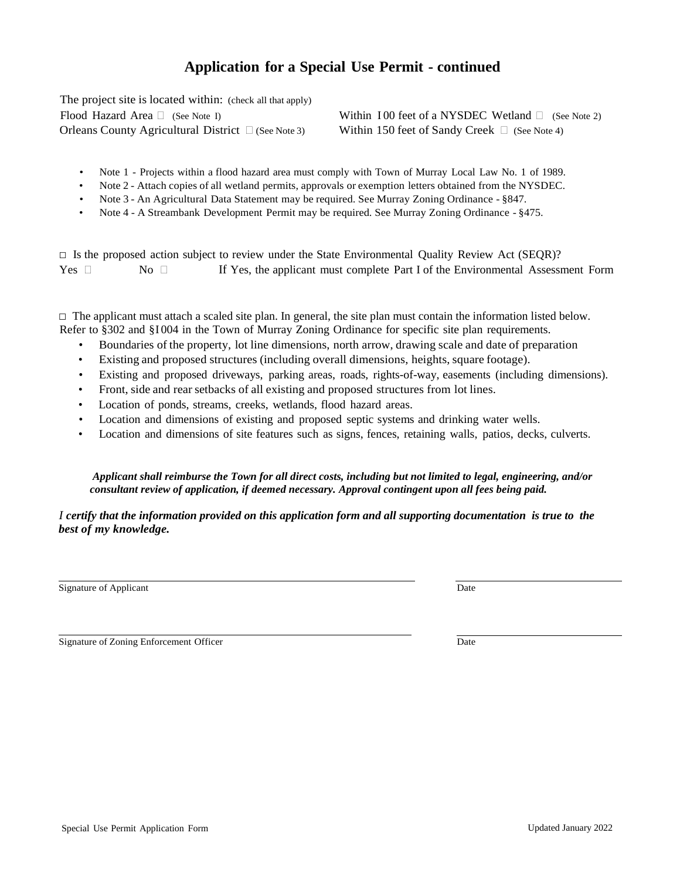## **Application for a Special Use Permit - continued**

The project site is located within: (check all that apply) Flood Hazard Area  $\Box$  (See Note I) Orleans County Agricultural District  $\Box$  (See Note 3)

Within 100 feet of a NYSDEC Wetland  $\Box$  (See Note 2) Within 150 feet of Sandy Creek  $\Box$  (See Note 4)

- Note 1 Projects within a flood hazard area must comply with Town of Murray Local Law No. 1 of 1989.
- Note 2 Attach copies of all wetland permits, approvals or exemption letters obtained from the NYSDEC.
- Note 3 An Agricultural Data Statement may be required. See Murray Zoning Ordinance §847.
- Note 4 A Streambank Development Permit may be required. See Murray Zoning Ordinance §475.

 $\Box$  Is the proposed action subject to review under the State Environmental Quality Review Act (SEQR)? Yes  $\Box$  No  $\Box$  If Yes, the applicant must complete Part I of the Environmental Assessment Form

 $\Box$  The applicant must attach a scaled site plan. In general, the site plan must contain the information listed below. Refer to §302 and §I 004 in the Town of Murray Zoning Ordinance for specific site plan requirements.

- Boundaries of the property, lot line dimensions, north arrow, drawing scale and date of preparation
- Existing and proposed structures (including overall dimensions, heights, square footage).
- Existing and proposed driveways, parking areas, roads, rights-of-way, easements (including dimensions).
- Front, side and rear setbacks of all existing and proposed structures from lot lines.
- Location of ponds, streams, creeks, wetlands, flood hazard areas.
- Location and dimensions of existing and proposed septic systems and drinking water wells.
- Location and dimensions of site features such as signs, fences, retaining walls, patios, decks, culverts.

 *Applicant shall reimburse the Town for all direct costs, including but not limited to legal, engineering, and/or consultant review of application, if deemed necessary. Approval contingent upon all fees being paid.*

*I certify that the information provided on this application form and all supporting documentation is true to the best of my knowledge.*

Signature of Applicant Date of Applicant Date of Applicant Date of Applicant Date of Applicant Date of Applicant Date of Applicant Date of Applicant Date of Applicant Date of Applicant Date of Applicant Date of Applicant D

Signature of Zoning Enforcement Officer Date and Signature of Zoning Enforcement Officer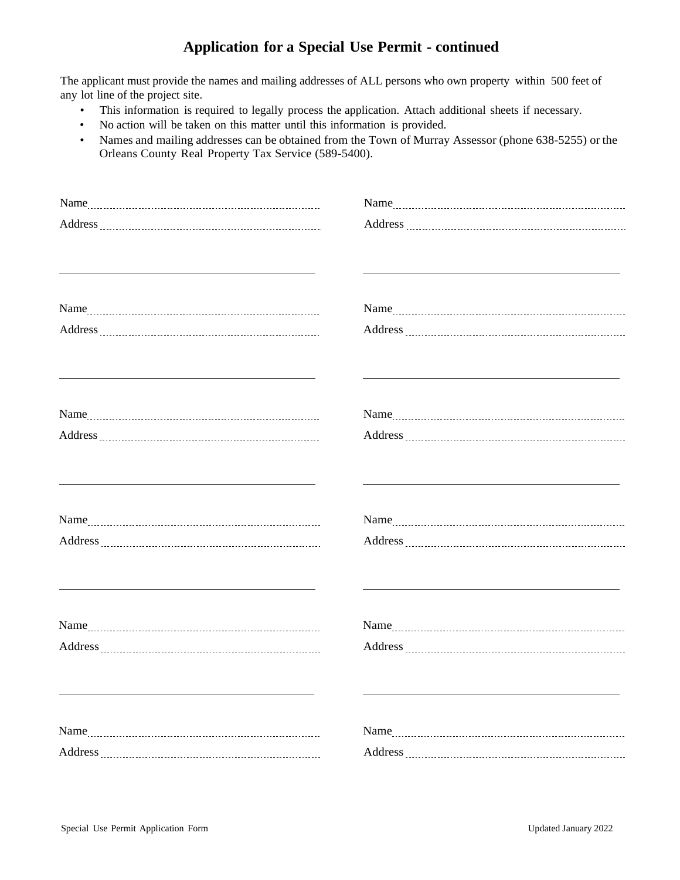## **Application for a Special Use Permit - continued**

The applicant must provide the names and mailing addresses of ALL persons who own property within 500 feet of any lot line of the project site.

- This information is required to legally process the application. Attach additional sheets if necessary.
- No action will be taken on this matter until this information is provided.
- Names and mailing addresses can be obtained from the Town of Murray Assessor (phone 638-5255) or the Orleans County Real Property Tax Service (589-5400).

| <u> 1980 - John Stein, mars and de Britain and de Britain and de Britain and de Britain and de Britain and de Br</u> |  |
|----------------------------------------------------------------------------------------------------------------------|--|
|                                                                                                                      |  |
| <u> 1989 - Johann Barbara, martxa alemaniar amerikan a</u>                                                           |  |
|                                                                                                                      |  |
|                                                                                                                      |  |
|                                                                                                                      |  |
|                                                                                                                      |  |
|                                                                                                                      |  |